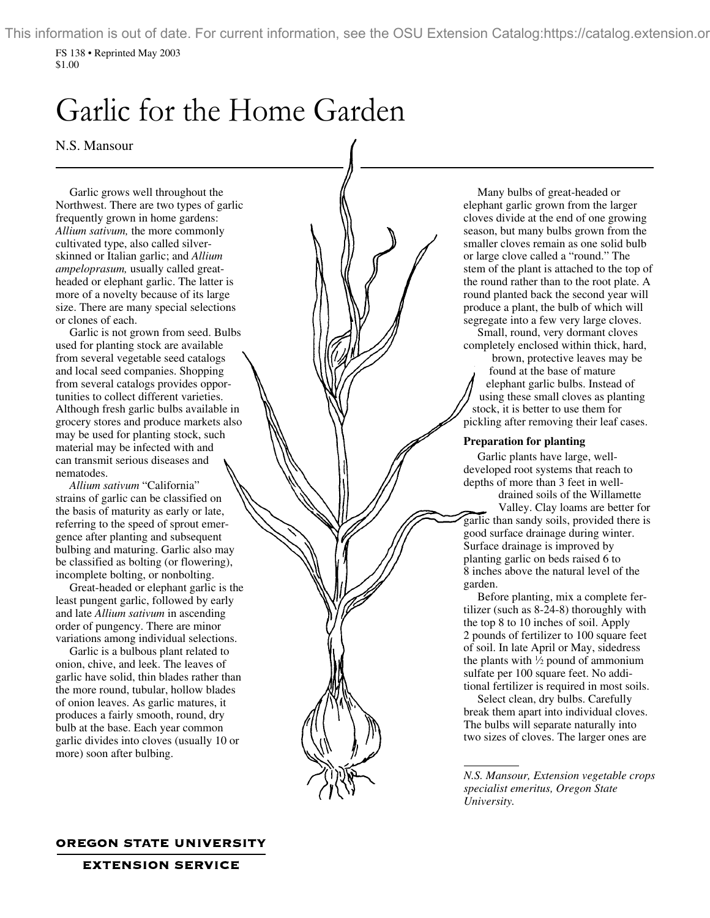This information is out of date. For current information, see the OSU Extension Catalog:https://catalog.extension.or

FS 138 • Reprinted May 2003 \$1.00

# Garlic for the Home Garden

N.S. Mansour

Garlic grows well throughout the Northwest. There are two types of garlic frequently grown in home gardens: *Allium sativum,* the more commonly cultivated type, also called silverskinned or Italian garlic; and *Allium ampeloprasum,* usually called greatheaded or elephant garlic. The latter is more of a novelty because of its large size. There are many special selections or clones of each.

Garlic is not grown from seed. Bulbs used for planting stock are available from several vegetable seed catalogs and local seed companies. Shopping from several catalogs provides opportunities to collect different varieties. Although fresh garlic bulbs available in grocery stores and produce markets also may be used for planting stock, such material may be infected with and can transmit serious diseases and nematodes.

*Allium sativum* "California" strains of garlic can be classified on the basis of maturity as early or late, referring to the speed of sprout emergence after planting and subsequent bulbing and maturing. Garlic also may be classified as bolting (or flowering), incomplete bolting, or nonbolting.

Great-headed or elephant garlic is the least pungent garlic, followed by early and late *Allium sativum* in ascending order of pungency. There are minor variations among individual selections.

Garlic is a bulbous plant related to onion, chive, and leek. The leaves of garlic have solid, thin blades rather than the more round, tubular, hollow blades of onion leaves. As garlic matures, it produces a fairly smooth, round, dry bulb at the base. Each year common garlic divides into cloves (usually 10 or more) soon after bulbing.

Many bulbs of great-headed or elephant garlic grown from the larger cloves divide at the end of one growing season, but many bulbs grown from the smaller cloves remain as one solid bulb or large clove called a "round." The stem of the plant is attached to the top of the round rather than to the root plate. A round planted back the second year will produce a plant, the bulb of which will segregate into a few very large cloves.

Small, round, very dormant cloves completely enclosed within thick, hard,

 brown, protective leaves may be found at the base of mature elephant garlic bulbs. Instead of using these small cloves as planting stock, it is better to use them for pickling after removing their leaf cases.

#### **Preparation for planting**

Garlic plants have large, welldeveloped root systems that reach to depths of more than 3 feet in well-

 drained soils of the Willamette Valley. Clay loams are better for garlic than sandy soils, provided there is good surface drainage during winter. Surface drainage is improved by planting garlic on beds raised 6 to 8 inches above the natural level of the garden.

Before planting, mix a complete fertilizer (such as 8-24-8) thoroughly with the top 8 to 10 inches of soil. Apply 2 pounds of fertilizer to 100 square feet of soil. In late April or May, sidedress the plants with  $\frac{1}{2}$  pound of ammonium sulfate per 100 square feet. No additional fertilizer is required in most soils.

Select clean, dry bulbs. Carefully break them apart into individual cloves. The bulbs will separate naturally into two sizes of cloves. The larger ones are

*N.S. Mansour, Extension vegetable crops specialist emeritus, Oregon State University.*

# **OREGON STATE UNIVERSITY**

**EXTENSION SERVICE**